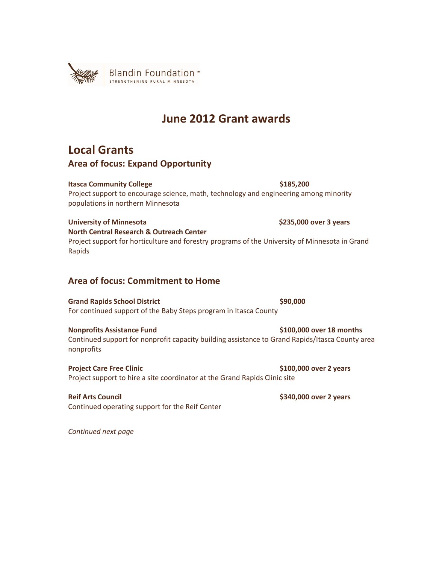

# **June 2012 Grant awards**

## **Local Grants**

#### **Area of focus: Expand Opportunity**

#### **Itasca Community College 6185,200 <b>\$185,200**

Project support to encourage science, math, technology and engineering among minority populations in northern Minnesota

#### **University of Minnesota \$235,000 over 3 years**

**North Central Research & Outreach Center**  Project support for horticulture and forestry programs of the University of Minnesota in Grand Rapids

## **Area of focus: Commitment to Home**

**Grand Rapids School District \$90,000 \$90,000** For continued support of the Baby Steps program in Itasca County

#### **Nonprofits Assistance Fund \$100,000 over 18 months**

Continued support for nonprofit capacity building assistance to Grand Rapids/Itasca County area nonprofits

**Project Care Free Clinic 2 years 3 and 2 years 3 years 3 years 3 years 3 years 3 years 3 years 3 years 3 years 3 years 3 years 3 years 3 years 3 years 3 years 3 years 3 years 3 years 3 years 3 years 3 years 3 years 3 year** Project support to hire a site coordinator at the Grand Rapids Clinic site

**Reif Arts Council \$340,000 over 2 years**  Continued operating support for the Reif Center

*Continued next page*